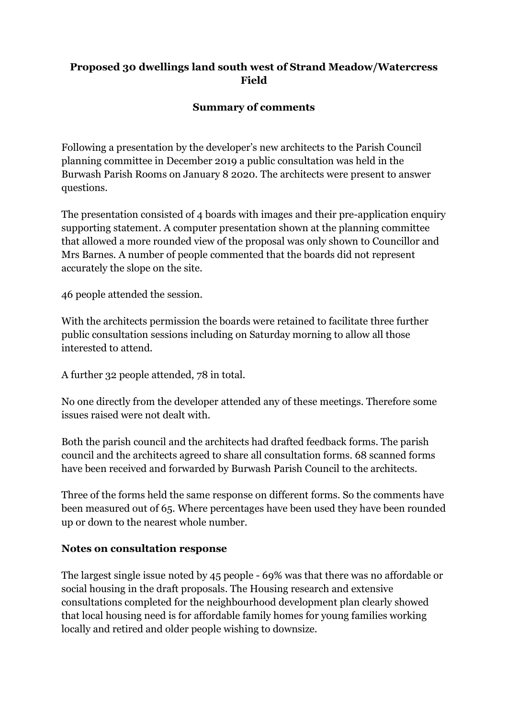## **Proposed 30 dwellings land south west of Strand Meadow/Watercress Field**

## **Summary of comments**

Following a presentation by the developer's new architects to the Parish Council planning committee in December 2019 a public consultation was held in the Burwash Parish Rooms on January 8 2020. The architects were present to answer questions.

The presentation consisted of 4 boards with images and their pre-application enquiry supporting statement. A computer presentation shown at the planning committee that allowed a more rounded view of the proposal was only shown to Councillor and Mrs Barnes. A number of people commented that the boards did not represent accurately the slope on the site.

46 people attended the session.

With the architects permission the boards were retained to facilitate three further public consultation sessions including on Saturday morning to allow all those interested to attend.

A further 32 people attended, 78 in total.

No one directly from the developer attended any of these meetings. Therefore some issues raised were not dealt with.

Both the parish council and the architects had drafted feedback forms. The parish council and the architects agreed to share all consultation forms. 68 scanned forms have been received and forwarded by Burwash Parish Council to the architects.

Three of the forms held the same response on different forms. So the comments have been measured out of 65. Where percentages have been used they have been rounded up or down to the nearest whole number.

## **Notes on consultation response**

The largest single issue noted by 45 people - 69% was that there was no affordable or social housing in the draft proposals. The Housing research and extensive consultations completed for the neighbourhood development plan clearly showed that local housing need is for affordable family homes for young families working locally and retired and older people wishing to downsize.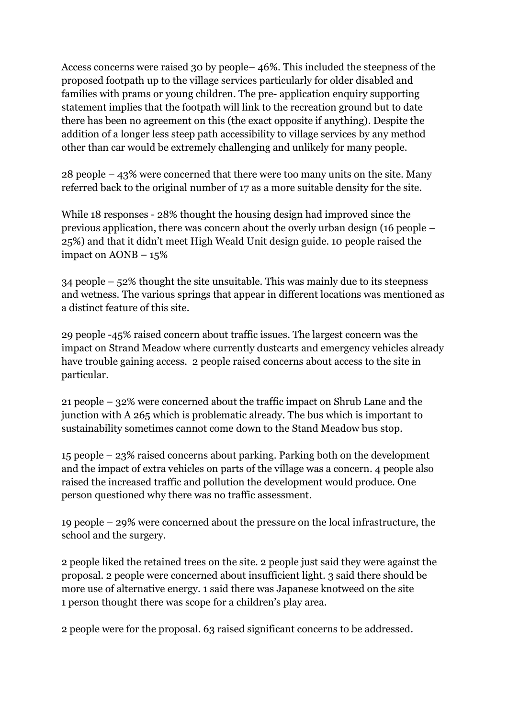Access concerns were raised 30 by people– 46%. This included the steepness of the proposed footpath up to the village services particularly for older disabled and families with prams or young children. The pre- application enquiry supporting statement implies that the footpath will link to the recreation ground but to date there has been no agreement on this (the exact opposite if anything). Despite the addition of a longer less steep path accessibility to village services by any method other than car would be extremely challenging and unlikely for many people.

28 people – 43% were concerned that there were too many units on the site. Many referred back to the original number of 17 as a more suitable density for the site.

While 18 responses - 28% thought the housing design had improved since the previous application, there was concern about the overly urban design (16 people – 25%) and that it didn't meet High Weald Unit design guide. 10 people raised the impact on AONB – 15%

34 people – 52% thought the site unsuitable. This was mainly due to its steepness and wetness. The various springs that appear in different locations was mentioned as a distinct feature of this site.

29 people -45% raised concern about traffic issues. The largest concern was the impact on Strand Meadow where currently dustcarts and emergency vehicles already have trouble gaining access. 2 people raised concerns about access to the site in particular.

21 people – 32% were concerned about the traffic impact on Shrub Lane and the junction with A 265 which is problematic already. The bus which is important to sustainability sometimes cannot come down to the Stand Meadow bus stop.

15 people – 23% raised concerns about parking. Parking both on the development and the impact of extra vehicles on parts of the village was a concern. 4 people also raised the increased traffic and pollution the development would produce. One person questioned why there was no traffic assessment.

19 people – 29% were concerned about the pressure on the local infrastructure, the school and the surgery.

2 people liked the retained trees on the site. 2 people just said they were against the proposal. 2 people were concerned about insufficient light. 3 said there should be more use of alternative energy. 1 said there was Japanese knotweed on the site 1 person thought there was scope for a children's play area.

2 people were for the proposal. 63 raised significant concerns to be addressed.